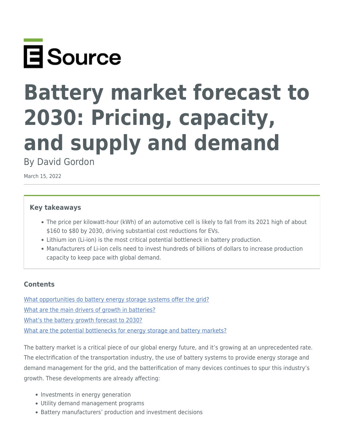

# **Battery market forecast to 2030: Pricing, capacity, and supply and demand**

By David Gordon

March 15, 2022

#### **Key takeaways**

- The price per kilowatt-hour (kWh) of an automotive cell is likely to fall from its 2021 high of about \$160 to \$80 by 2030, driving substantial cost reductions for EVs.
- Lithium ion (Li-ion) is the most critical potential bottleneck in battery production.
- Manufacturers of Li-ion cells need to invest hundreds of billions of dollars to increase production capacity to keep pace with global demand.

## **Contents**

[What opportunities do battery energy storage systems offer the grid?](#page-1-0) [What are the main drivers of growth in batteries?](#page-1-1) [What's the battery growth forecast to 2030?](#page-3-0) [What are the potential bottlenecks for energy storage and battery markets?](#page--1-0)

The battery market is a critical piece of our global energy future, and it's growing at an unprecedented rate. The electrification of the transportation industry, the use of battery systems to provide energy storage and demand management for the grid, and the batterification of many devices continues to spur this industry's growth. These developments are already affecting:

- Investments in energy generation
- Utility demand management programs
- Battery manufacturers' production and investment decisions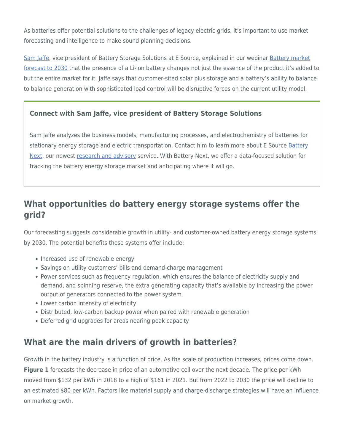As batteries offer potential solutions to the challenges of legacy electric grids, it's important to use market forecasting and intelligence to make sound planning decisions.

[Sam Jaffe](https://www.esource.com/sam-jaffe), vice president of Battery Storage Solutions at E Source, explained in our webinar [Battery market](https://www.esource.com/430211hjwe/battery-market-forecast-2030) [forecast to 2030](https://www.esource.com/430211hjwe/battery-market-forecast-2030) that the presence of a Li-ion battery changes not just the essence of the product it's added to but the entire market for it. Jaffe says that customer-sited solar plus storage and a battery's ability to balance to balance generation with sophisticated load control will be disruptive forces on the current utility model.

## **Connect with Sam Jaffe, vice president of Battery Storage Solutions**

Sam Jaffe analyzes the business models, manufacturing processes, and electrochemistry of batteries for stationary energy storage and electric transportation. Contact him to learn more about E Source [Battery](https://www.esource.com/battery-next-membership) [Next](https://www.esource.com/battery-next-membership), our newest [research and advisory](https://www.esource.com/research-and-advisory) service. With Battery Next, we offer a data-focused solution for tracking the battery energy storage market and anticipating where it will go.

# <span id="page-1-0"></span>**What opportunities do battery energy storage systems offer the grid?**

Our forecasting suggests considerable growth in utility- and customer-owned battery energy storage systems by 2030. The potential benefits these systems offer include:

- Increased use of renewable energy
- Savings on utility customers' bills and demand-charge management
- Power services such as frequency regulation, which ensures the balance of electricity supply and demand, and spinning reserve, the extra generating capacity that's available by increasing the power output of generators connected to the power system
- Lower carbon intensity of electricity
- Distributed, low-carbon backup power when paired with renewable generation
- Deferred grid upgrades for areas nearing peak capacity

# <span id="page-1-1"></span>**What are the main drivers of growth in batteries?**

Growth in the battery industry is a function of price. As the scale of production increases, prices come down. **Figure 1** forecasts the decrease in price of an automotive cell over the next decade. The price per kWh moved from \$132 per kWh in 2018 to a high of \$161 in 2021. But from 2022 to 2030 the price will decline to an estimated \$80 per kWh. Factors like material supply and charge-discharge strategies will have an influence on market growth.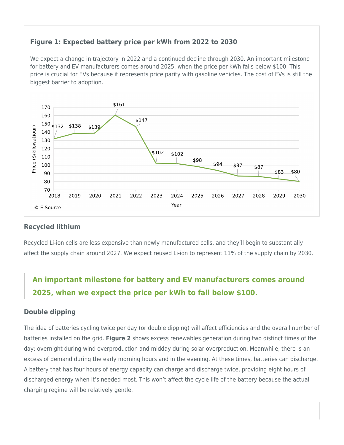## **Figure 1: Expected battery price per kWh from 2022 to 2030**

We expect a change in trajectory in 2022 and a continued decline through 2030. An important milestone for battery and EV manufacturers comes around 2025, when the price per kWh falls below \$100. This price is crucial for EVs because it represents price parity with gasoline vehicles. The cost of EVs is still the biggest barrier to adoption.



## **Recycled lithium**

Recycled Li-ion cells are less expensive than newly manufactured cells, and they'll begin to substantially affect the supply chain around 2027. We expect reused Li-ion to represent 11% of the supply chain by 2030.

# **An important milestone for battery and EV manufacturers comes around 2025, when we expect the price per kWh to fall below \$100.**

## **Double dipping**

The idea of batteries cycling twice per day (or double dipping) will affect efficiencies and the overall number of batteries installed on the grid. **Figure 2** shows excess renewables generation during two distinct times of the day: overnight during wind overproduction and midday during solar overproduction. Meanwhile, there is an excess of demand during the early morning hours and in the evening. At these times, batteries can discharge. A battery that has four hours of energy capacity can charge and discharge twice, providing eight hours of discharged energy when it's needed most. This won't affect the cycle life of the battery because the actual charging regime will be relatively gentle.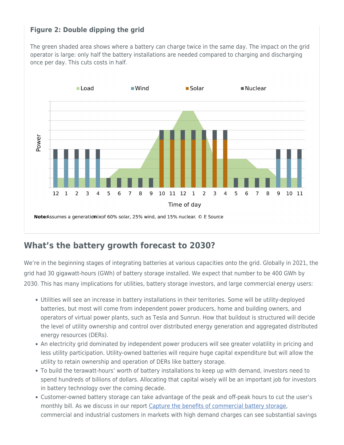# **Figure 2: Double dipping the grid**

The green shaded area shows where a battery can charge twice in the same day. The impact on the grid operator is large: only half the battery installations are needed compared to charging and discharging once per day. This cuts costs in half.



# <span id="page-3-0"></span>**What's the battery growth forecast to 2030?**

We're in the beginning stages of integrating batteries at various capacities onto the grid. Globally in 2021, the grid had 30 gigawatt-hours (GWh) of battery storage installed. We expect that number to be 400 GWh by 2030. This has many implications for utilities, battery storage investors, and large commercial energy users:

- Utilities will see an increase in battery installations in their territories. Some will be utility-deployed batteries, but most will come from independent power producers, home and building owners, and operators of virtual power plants, such as Tesla and Sunrun. How that buildout is structured will decide the level of utility ownership and control over distributed energy generation and aggregated distributed energy resources (DERs).
- An electricity grid dominated by independent power producers will see greater volatility in pricing and less utility participation. Utility-owned batteries will require huge capital expenditure but will allow the utility to retain ownership and operation of DERs like battery storage.
- To build the terawatt-hours' worth of battery installations to keep up with demand, investors need to spend hundreds of billions of dollars. Allocating that capital wisely will be an important job for investors in battery technology over the coming decade.
- Customer-owned battery storage can take advantage of the peak and off-peak hours to cut the user's monthly bill. As we discuss in our report [Capture the benefits of commercial battery storage](https://www.esource.com/136201rola/capture-benefits-commercial-battery-storage), commercial and industrial customers in markets with high demand charges can see substantial savings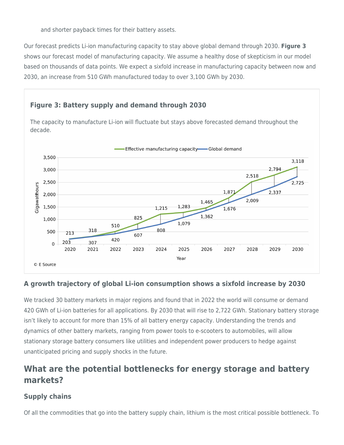and shorter payback times for their battery assets.

Our forecast predicts Li-ion manufacturing capacity to stay above global demand through 2030. **Figure 3** shows our forecast model of manufacturing capacity. We assume a healthy dose of skepticism in our model based on thousands of data points. We expect a sixfold increase in manufacturing capacity between now and 2030, an increase from 510 GWh manufactured today to over 3,100 GWh by 2030.

# **Figure 3: Battery supply and demand through 2030**

The capacity to manufacture Li-ion will fluctuate but stays above forecasted demand throughout the decade.



# **A growth trajectory of global Li-ion consumption shows a sixfold increase by 2030**

We tracked 30 battery markets in major regions and found that in 2022 the world will consume or demand 420 GWh of Li-ion batteries for all applications. By 2030 that will rise to 2,722 GWh. Stationary battery storage isn't likely to account for more than 15% of all battery energy capacity. Understanding the trends and dynamics of other battery markets, ranging from power tools to e-scooters to automobiles, will allow stationary storage battery consumers like utilities and independent power producers to hedge against unanticipated pricing and supply shocks in the future.

# **What are the potential bottlenecks for energy storage and battery markets?**

# **Supply chains**

Of all the commodities that go into the battery supply chain, lithium is the most critical possible bottleneck. To